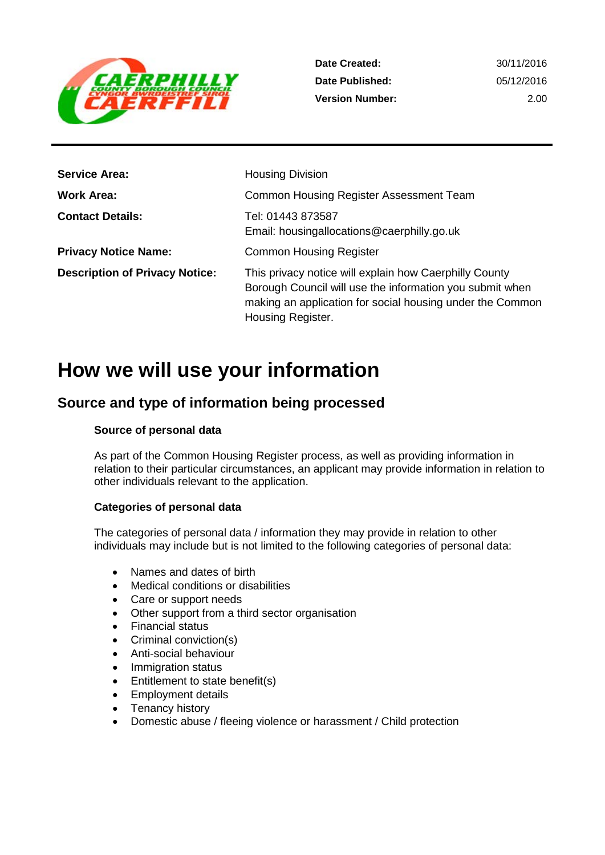

2.00

| <b>Service Area:</b>                  | <b>Housing Division</b>                                                                                                                                                                              |
|---------------------------------------|------------------------------------------------------------------------------------------------------------------------------------------------------------------------------------------------------|
| Work Area:                            | Common Housing Register Assessment Team                                                                                                                                                              |
| <b>Contact Details:</b>               | Tel: 01443 873587<br>Email: housingallocations@caerphilly.go.uk                                                                                                                                      |
| <b>Privacy Notice Name:</b>           | <b>Common Housing Register</b>                                                                                                                                                                       |
| <b>Description of Privacy Notice:</b> | This privacy notice will explain how Caerphilly County<br>Borough Council will use the information you submit when<br>making an application for social housing under the Common<br>Housing Register. |

# **How we will use your information**

## **Source and type of information being processed**

#### **Source of personal data**

As part of the Common Housing Register process, as well as providing information in relation to their particular circumstances, an applicant may provide information in relation to other individuals relevant to the application.

#### **Categories of personal data**

The categories of personal data / information they may provide in relation to other individuals may include but is not limited to the following categories of personal data:

- Names and dates of birth
- Medical conditions or disabilities
- Care or support needs
- Other support from a third sector organisation
- Financial status
- Criminal conviction(s)
- Anti-social behaviour
- Immigration status
- Entitlement to state benefit(s)
- Employment details
- Tenancy history
- Domestic abuse / fleeing violence or harassment / Child protection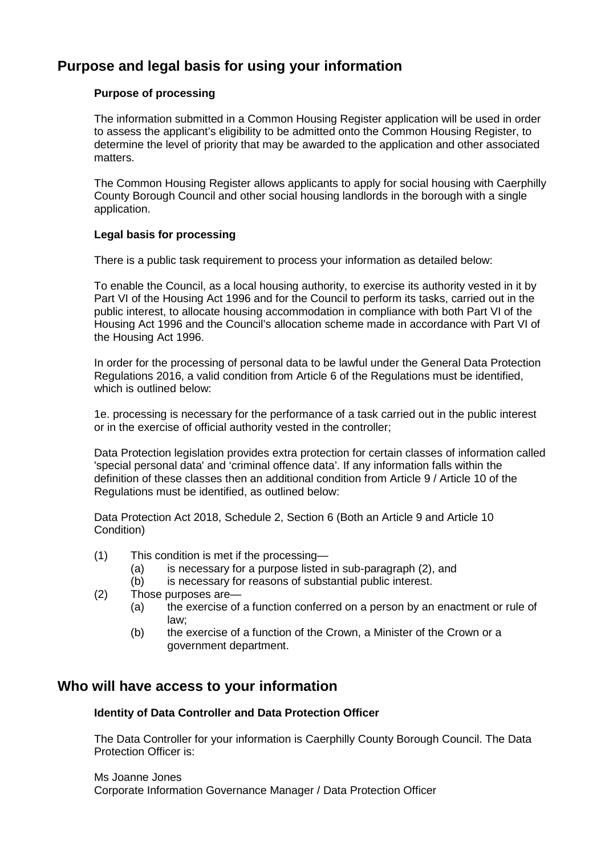## **Purpose and legal basis for using your information**

#### **Purpose of processing**

The information submitted in a Common Housing Register application will be used in order to assess the applicant's eligibility to be admitted onto the Common Housing Register, to determine the level of priority that may be awarded to the application and other associated matters.

The Common Housing Register allows applicants to apply for social housing with Caerphilly County Borough Council and other social housing landlords in the borough with a single application.

#### **Legal basis for processing**

There is a public task requirement to process your information as detailed below:

To enable the Council, as a local housing authority, to exercise its authority vested in it by Part VI of the Housing Act 1996 and for the Council to perform its tasks, carried out in the public interest, to allocate housing accommodation in compliance with both Part VI of the Housing Act 1996 and the Council's allocation scheme made in accordance with Part VI of the Housing Act 1996.

In order for the processing of personal data to be lawful under the General Data Protection Regulations 2016, a valid condition from Article 6 of the Regulations must be identified, which is outlined below:

1e. processing is necessary for the performance of a task carried out in the public interest or in the exercise of official authority vested in the controller;

Data Protection legislation provides extra protection for certain classes of information called 'special personal data' and 'criminal offence data'. If any information falls within the definition of these classes then an additional condition from Article 9 / Article 10 of the Regulations must be identified, as outlined below:

Data Protection Act 2018, Schedule 2, Section 6 (Both an Article 9 and Article 10 Condition)

- (1) This condition is met if the processing—
	- (a) is necessary for a purpose listed in sub-paragraph (2), and
	- (b) is necessary for reasons of substantial public interest.
- (2) Those purposes are—
	- (a) the exercise of a function conferred on a person by an enactment or rule of law;
	- (b) the exercise of a function of the Crown, a Minister of the Crown or a government department.

#### **Who will have access to your information**

#### **Identity of Data Controller and Data Protection Officer**

The Data Controller for your information is Caerphilly County Borough Council. The Data Protection Officer is:

Ms Joanne Jones Corporate Information Governance Manager / Data Protection Officer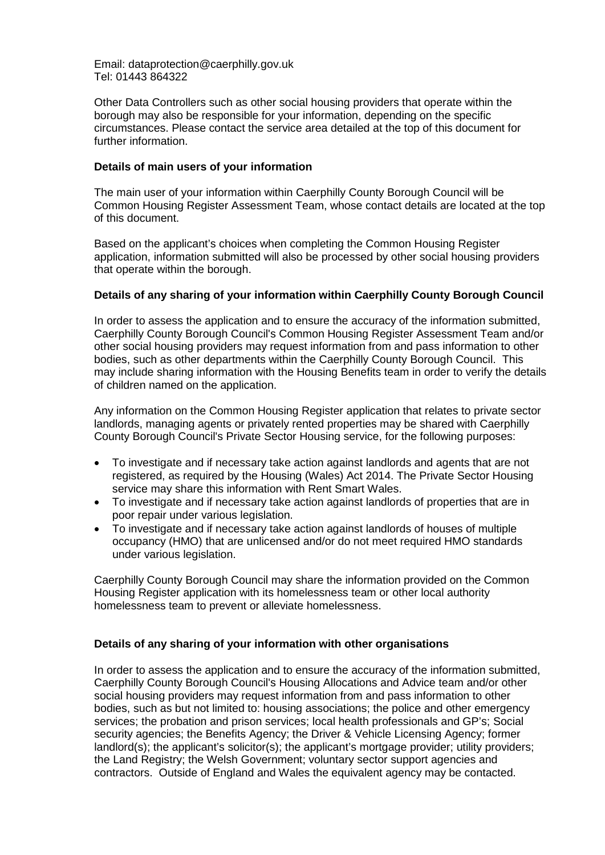Email: dataprotection@caerphilly.gov.uk Tel: 01443 864322

Other Data Controllers such as other social housing providers that operate within the borough may also be responsible for your information, depending on the specific circumstances. Please contact the service area detailed at the top of this document for further information.

#### **Details of main users of your information**

The main user of your information within Caerphilly County Borough Council will be Common Housing Register Assessment Team, whose contact details are located at the top of this document.

Based on the applicant's choices when completing the Common Housing Register application, information submitted will also be processed by other social housing providers that operate within the borough.

#### **Details of any sharing of your information within Caerphilly County Borough Council**

In order to assess the application and to ensure the accuracy of the information submitted, Caerphilly County Borough Council's Common Housing Register Assessment Team and/or other social housing providers may request information from and pass information to other bodies, such as other departments within the Caerphilly County Borough Council. This may include sharing information with the Housing Benefits team in order to verify the details of children named on the application.

Any information on the Common Housing Register application that relates to private sector landlords, managing agents or privately rented properties may be shared with Caerphilly County Borough Council's Private Sector Housing service, for the following purposes:

- To investigate and if necessary take action against landlords and agents that are not registered, as required by the Housing (Wales) Act 2014. The Private Sector Housing service may share this information with Rent Smart Wales.
- To investigate and if necessary take action against landlords of properties that are in poor repair under various legislation.
- To investigate and if necessary take action against landlords of houses of multiple occupancy (HMO) that are unlicensed and/or do not meet required HMO standards under various legislation.

Caerphilly County Borough Council may share the information provided on the Common Housing Register application with its homelessness team or other local authority homelessness team to prevent or alleviate homelessness.

#### **Details of any sharing of your information with other organisations**

In order to assess the application and to ensure the accuracy of the information submitted, Caerphilly County Borough Council's Housing Allocations and Advice team and/or other social housing providers may request information from and pass information to other bodies, such as but not limited to: housing associations; the police and other emergency services; the probation and prison services; local health professionals and GP's; Social security agencies; the Benefits Agency; the Driver & Vehicle Licensing Agency; former landlord(s); the applicant's solicitor(s); the applicant's mortgage provider; utility providers; the Land Registry; the Welsh Government; voluntary sector support agencies and contractors. Outside of England and Wales the equivalent agency may be contacted.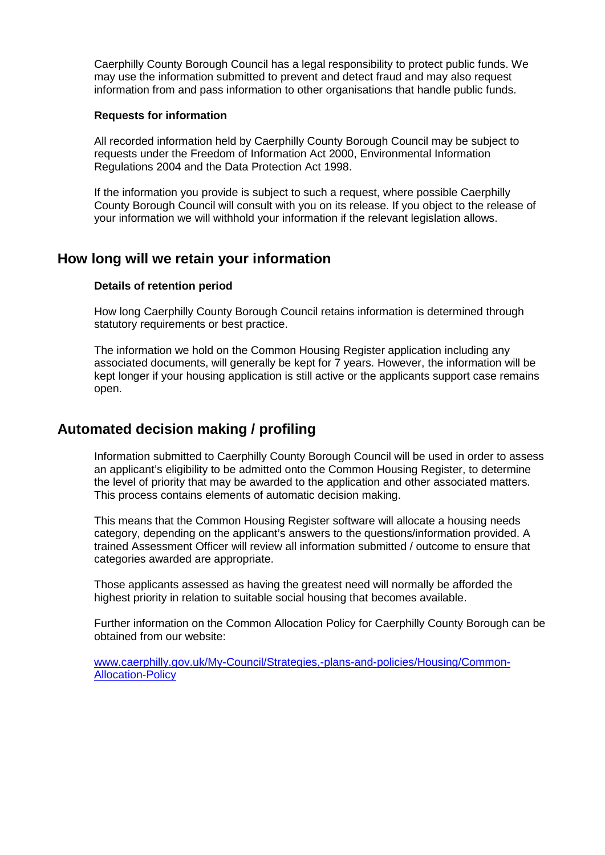Caerphilly County Borough Council has a legal responsibility to protect public funds. We may use the information submitted to prevent and detect fraud and may also request information from and pass information to other organisations that handle public funds.

#### **Requests for information**

All recorded information held by Caerphilly County Borough Council may be subject to requests under the Freedom of Information Act 2000, Environmental Information Regulations 2004 and the Data Protection Act 1998.

If the information you provide is subject to such a request, where possible Caerphilly County Borough Council will consult with you on its release. If you object to the release of your information we will withhold your information if the relevant legislation allows.

### **How long will we retain your information**

#### **Details of retention period**

How long Caerphilly County Borough Council retains information is determined through statutory requirements or best practice.

The information we hold on the Common Housing Register application including any associated documents, will generally be kept for 7 years. However, the information will be kept longer if your housing application is still active or the applicants support case remains open.

## **Automated decision making / profiling**

Information submitted to Caerphilly County Borough Council will be used in order to assess an applicant's eligibility to be admitted onto the Common Housing Register, to determine the level of priority that may be awarded to the application and other associated matters. This process contains elements of automatic decision making.

This means that the Common Housing Register software will allocate a housing needs category, depending on the applicant's answers to the questions/information provided. A trained Assessment Officer will review all information submitted / outcome to ensure that categories awarded are appropriate.

Those applicants assessed as having the greatest need will normally be afforded the highest priority in relation to suitable social housing that becomes available.

Further information on the Common Allocation Policy for Caerphilly County Borough can be obtained from our website:

[www.caerphilly.gov.uk/My-Council/Strategies,-plans-and-policies/Housing/Common-](http://www.caerphilly.gov.uk/My-Council/Strategies,-plans-and-policies/Housing/Common-Allocation-Policy)[Allocation-Policy](http://www.caerphilly.gov.uk/My-Council/Strategies,-plans-and-policies/Housing/Common-Allocation-Policy)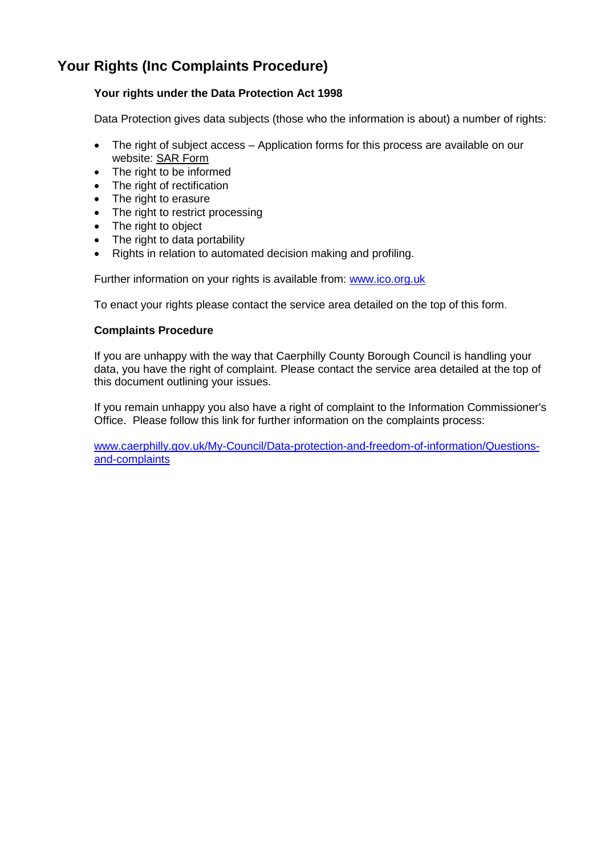## **Your Rights (Inc Complaints Procedure)**

#### **Your rights under the Data Protection Act 1998**

Data Protection gives data subjects (those who the information is about) a number of rights:

- The right of subject access Application forms for this process are available on our website: [SAR Form](http://www.caerphilly.gov.uk/CaerphillyDocs/Council-and-democracy/sar_form.aspx)
- The right to be informed
- The right of rectification
- The right to erasure
- The right to restrict processing
- The right to object
- The right to data portability
- Rights in relation to automated decision making and profiling.

Further information on your rights is available from: [www.ico.org.uk](http://www.ico.org.uk/)

To enact your rights please contact the service area detailed on the top of this form.

#### **Complaints Procedure**

If you are unhappy with the way that Caerphilly County Borough Council is handling your data, you have the right of complaint. Please contact the service area detailed at the top of this document outlining your issues.

If you remain unhappy you also have a right of complaint to the Information Commissioner's Office. Please follow this link for further information on the complaints process:

[www.caerphilly.gov.uk/My-Council/Data-protection-and-freedom-of-information/Questions](http://www.caerphilly.gov.uk/My-Council/Data-protection-and-freedom-of-information/Questions-and-complaints)[and-complaints](http://www.caerphilly.gov.uk/My-Council/Data-protection-and-freedom-of-information/Questions-and-complaints)